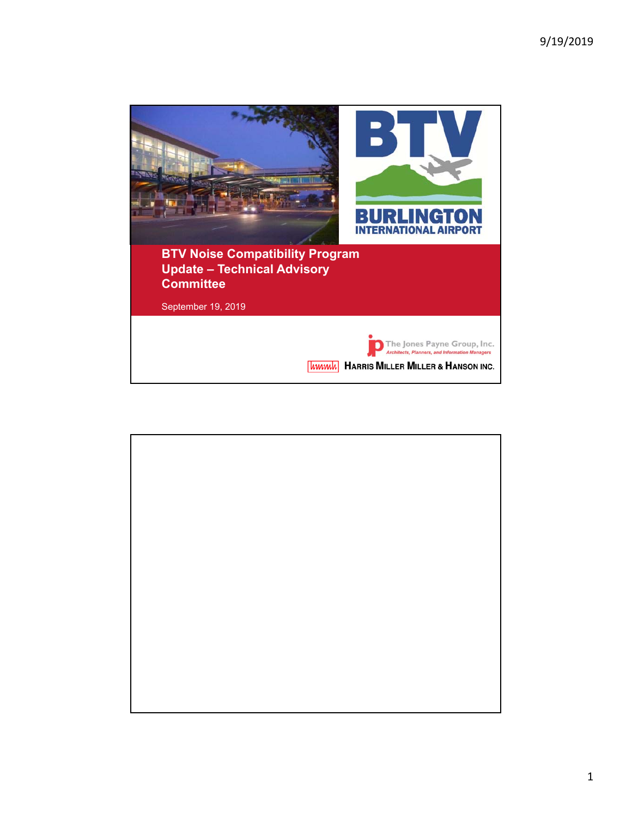

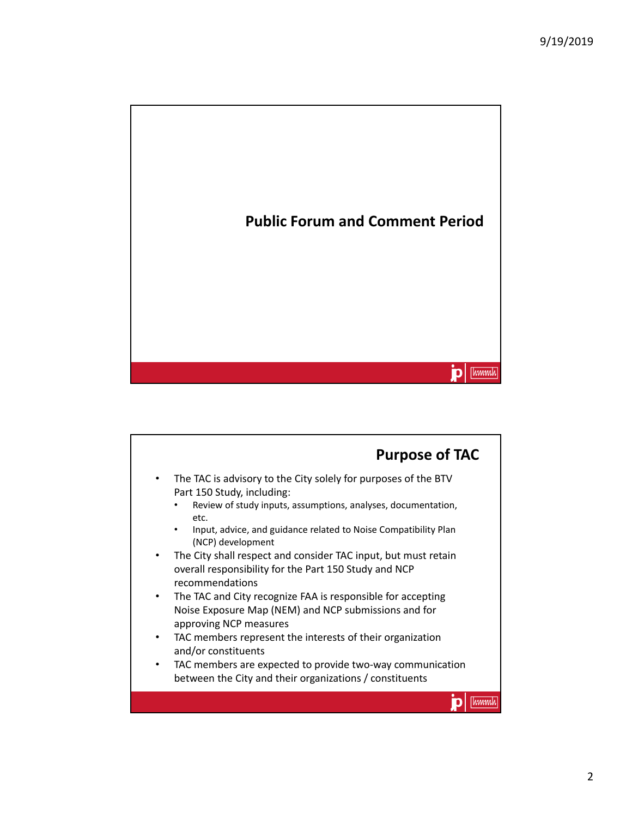

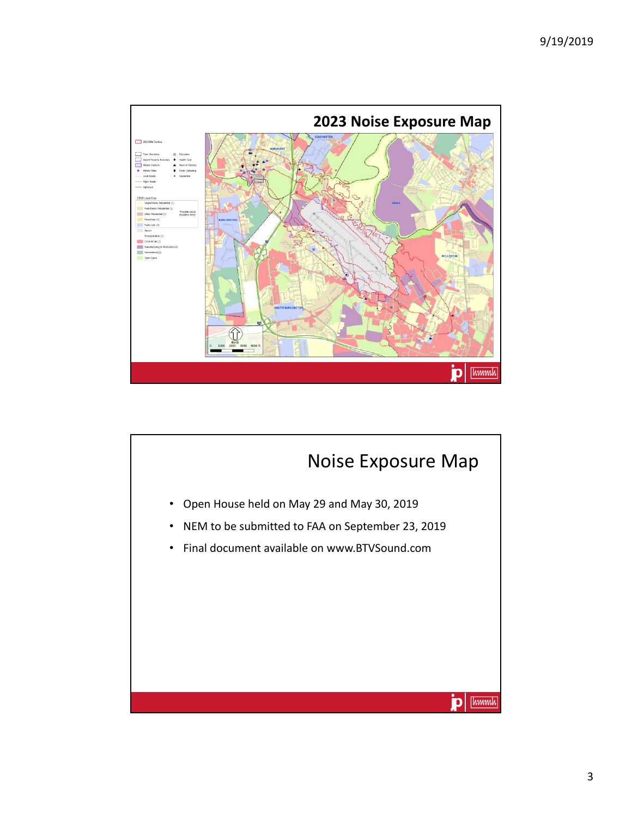

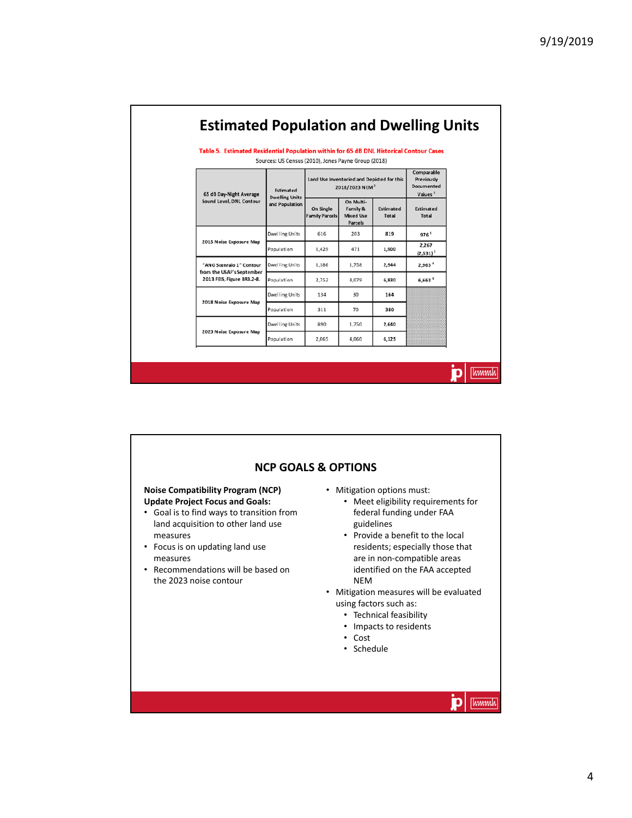[hmmh]

D

| <b>Estimated Population and Dwelling Units</b> |  |
|------------------------------------------------|--|
|------------------------------------------------|--|

Table 5. Estimated Residential Population within for 65 dB DNL Historical Contour Cases

| 65 dB Day-Night Average<br>Sound Level, DNL Contour                                 | Estimated<br><b>Dwelling Units</b><br>and Population | Land Use Inventoried and Depicted for this<br>2018/2023 NEM <sup>2</sup> |                                                      |                           | Comparable<br>Previously<br>Documented<br>Values <sup>3</sup> |
|-------------------------------------------------------------------------------------|------------------------------------------------------|--------------------------------------------------------------------------|------------------------------------------------------|---------------------------|---------------------------------------------------------------|
|                                                                                     |                                                      | On Single<br><b>Family Parcels</b>                                       | On Multi-<br>Family &<br><b>Mixed Use</b><br>Parcels | Estimated<br><b>Total</b> | Estimated<br><b>Total</b>                                     |
| 2015 Noise Exposure Map                                                             | Dwelling Units                                       | 616                                                                      | 203                                                  | 819                       | 9761                                                          |
|                                                                                     | Population                                           | 1,429                                                                    | 471                                                  | 1,900                     | 2,267<br>$(2,531)^1$                                          |
| "ANG Scenraio 1" Contour<br>from the USAF's September<br>2013 FEIS, Figure BR3.2-8. | Dwelling Units                                       | 1.186                                                                    | 1.758                                                | 2,944                     | 2,963 <sup>4</sup>                                            |
|                                                                                     | Population                                           | 2.752                                                                    | 4,079                                                | 6.830                     | 6,663 <sup>4</sup>                                            |
| 2018 Noise Exposure Map                                                             | Dwelling Units                                       | 134                                                                      | 30                                                   | 164                       |                                                               |
|                                                                                     | Population                                           | 311                                                                      | 70                                                   | 380                       |                                                               |
| 2023 Noise Exposure Map                                                             | Dwelling Units                                       | 890                                                                      | 1.750                                                | 2,640                     |                                                               |
|                                                                                     | Population                                           | 2.065                                                                    | 4.060                                                | 6,125                     |                                                               |

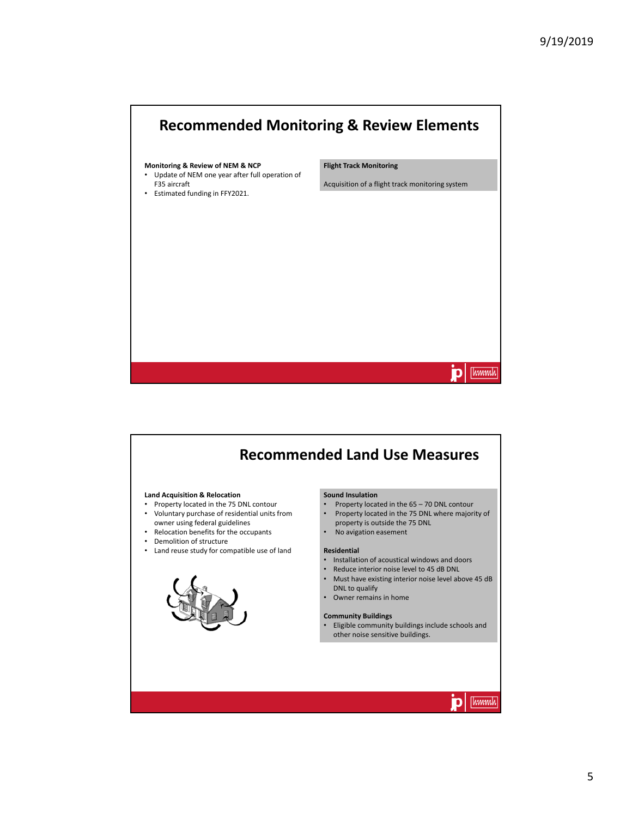



5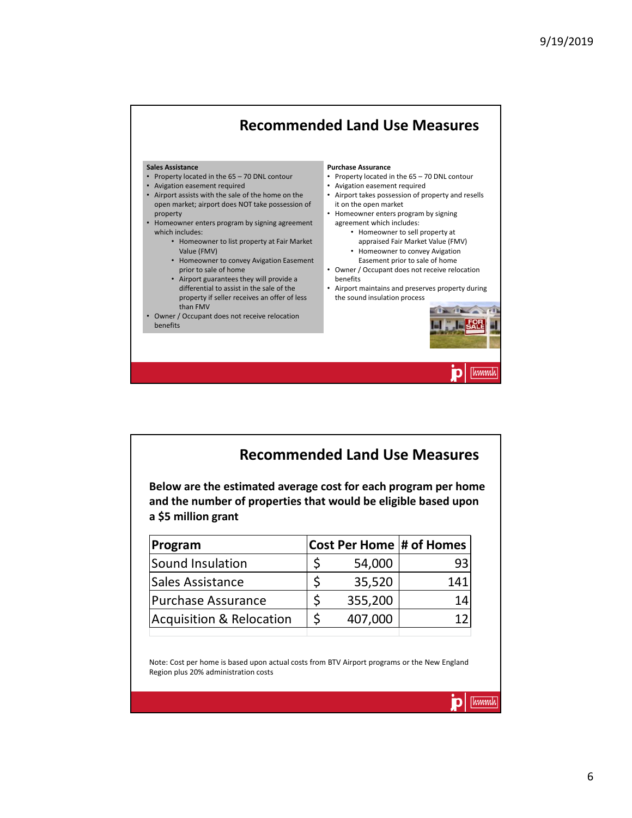## **Recommended Land Use Measures Sales Assistance Purchase Assurance** • Property located in the 65 – 70 DNL contour • Property located in the 65 – 70 DNL contour • Avigation easement required • Avigation easement required • Airport assists with the sale of the home on the • Airport takes possession of property and resells open market; airport does NOT take possession of it on the open market • Homeowner enters program by signing property • Homeowner enters program by signing agreement agreement which includes: which includes: • Homeowner to sell property at • Homeowner to list property at Fair Market appraised Fair Market Value (FMV) Value (FMV) • Homeowner to convey Avigation • Homeowner to convey Avigation Easement Easement prior to sale of home prior to sale of home • Owner / Occupant does not receive relocation • Airport guarantees they will provide a benefits differential to assist in the sale of the • Airport maintains and preserves property during property if seller receives an offer of less the sound insulation process than FMV • Owner / Occupant does not receive relocation benefits Thmmh

| <b>Recommended Land Use Measures</b><br>Below are the estimated average cost for each program per home<br>and the number of properties that would be eligible based upon |    |         |                          |  |  |  |  |
|--------------------------------------------------------------------------------------------------------------------------------------------------------------------------|----|---------|--------------------------|--|--|--|--|
| a \$5 million grant<br>Program                                                                                                                                           |    |         | Cost Per Home # of Homes |  |  |  |  |
| Sound Insulation                                                                                                                                                         | \$ | 54,000  | 93                       |  |  |  |  |
| Sales Assistance                                                                                                                                                         | \$ | 35,520  | 141                      |  |  |  |  |
| <b>Purchase Assurance</b>                                                                                                                                                | \$ | 355,200 | 14                       |  |  |  |  |
| <b>Acquisition &amp; Relocation</b>                                                                                                                                      |    |         |                          |  |  |  |  |

Note: Cost per home is based upon actual costs from BTV Airport programs or the New England Region plus 20% administration costs

Tummh

D